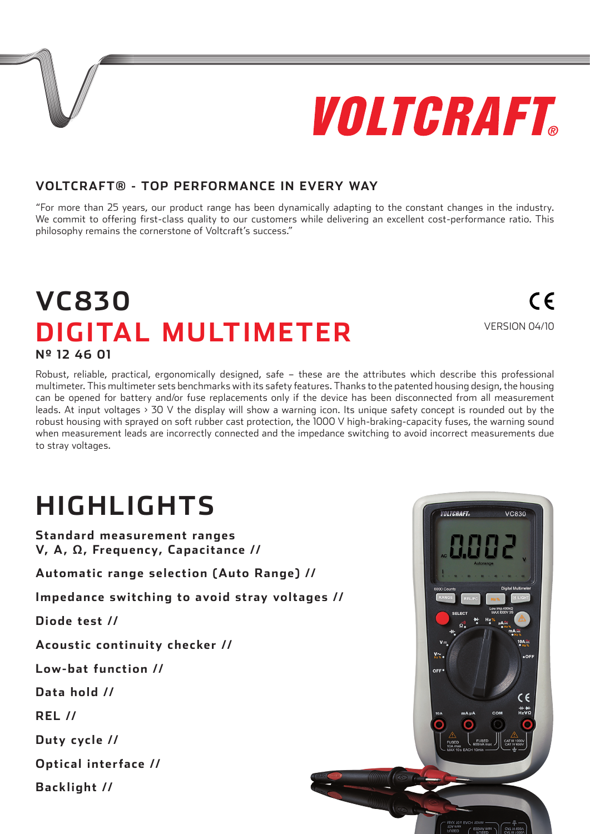# VOLTCRAFT

 $\epsilon$ 

#### **VOLTCRAFT® - TOP PERFORMANCE IN EVERY WAY**

"For more than 25 years, our product range has been dynamically adapting to the constant changes in the industry. We commit to offering first-class quality to our customers while delivering an excellent cost-performance ratio. This philosophy remains the cornerstone of Voltcraft's success."

### **VC830 DIGITAL MULTIMETER** VERSION 04/10 **Nº 12 46 01**

Robust, reliable, practical, ergonomically designed, safe – these are the attributes which describe this professional multimeter. This multimeter sets benchmarks with its safety features. Thanks to the patented housing design, the housing can be opened for battery and/or fuse replacements only if the device has been disconnected from all measurement leads. At input voltages > 30 V the display will show a warning icon. Its unique safety concept is rounded out by the robust housing with sprayed on soft rubber cast protection, the 1000 V high-braking-capacity fuses, the warning sound when measurement leads are incorrectly connected and the impedance switching to avoid incorrect measurements due to stray voltages.

# **HIGHLIGHTS**

**Standard measurement ranges V, A, Ω, Frequency, Capacitance // Automatic range selection (Auto Range) // Impedance switching to avoid stray voltages // Diode test // Acoustic continuity checker // Low-bat function // Data hold // REL // Duty cycle // Optical interface // Backlight //**